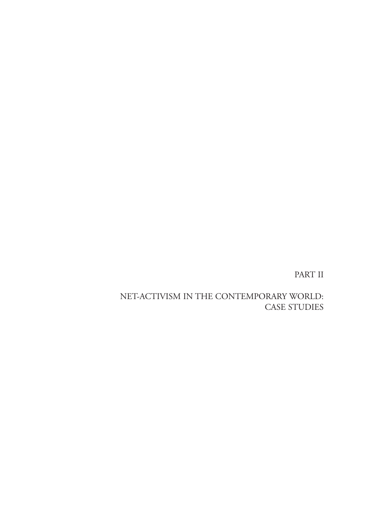PART II

NET-ACTIVISM IN THE CONTEMPORARY WORLD: CASE STUDIES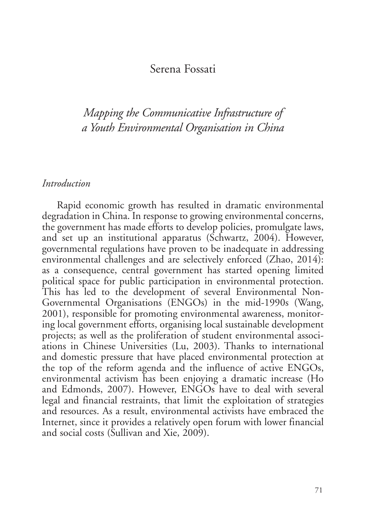### Serena Fossati

*Mapping the Communicative Infrastructure of a Youth Environmental Organisation in China*

#### *Introduction*

Rapid economic growth has resulted in dramatic environmental degradation in China. In response to growing environmental concerns, the government has made efforts to develop policies, promulgate laws, and set up an institutional apparatus (Schwartz, 2004). However, governmental regulations have proven to be inadequate in addressing environmental challenges and are selectively enforced (Zhao, 2014): as a consequence, central government has started opening limited political space for public participation in environmental protection. This has led to the development of several Environmental Non-Governmental Organisations (ENGOs) in the mid-1990s (Wang, 2001), responsible for promoting environmental awareness, monitoring local government efforts, organising local sustainable development projects; as well as the proliferation of student environmental associations in Chinese Universities (Lu, 2003). Thanks to international and domestic pressure that have placed environmental protection at the top of the reform agenda and the influence of active ENGOs, environmental activism has been enjoying a dramatic increase (Ho and Edmonds, 2007). However, ENGOs have to deal with several legal and financial restraints, that limit the exploitation of strategies and resources. As a result, environmental activists have embraced the Internet, since it provides a relatively open forum with lower financial and social costs (Sullivan and Xie, 2009).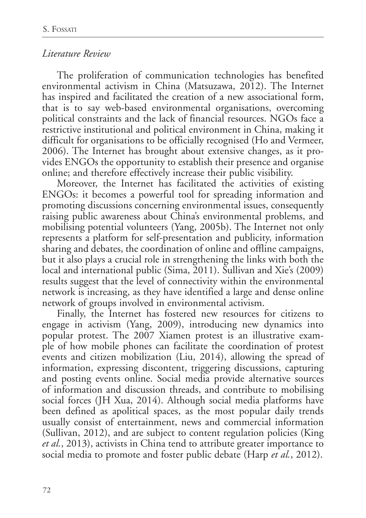### *Literature Review*

The proliferation of communication technologies has benefited environmental activism in China (Matsuzawa, 2012). The Internet has inspired and facilitated the creation of a new associational form, that is to say web-based environmental organisations, overcoming political constraints and the lack of financial resources. NGOs face a restrictive institutional and political environment in China, making it difficult for organisations to be officially recognised (Ho and Vermeer, 2006). The Internet has brought about extensive changes, as it provides ENGOs the opportunity to establish their presence and organise online; and therefore effectively increase their public visibility.

Moreover, the Internet has facilitated the activities of existing ENGOs: it becomes a powerful tool for spreading information and promoting discussions concerning environmental issues, consequently raising public awareness about China's environmental problems, and mobilising potential volunteers (Yang, 2005b). The Internet not only represents a platform for self-presentation and publicity, information sharing and debates, the coordination of online and offline campaigns, but it also plays a crucial role in strengthening the links with both the local and international public (Sima, 2011). Sullivan and Xie's (2009) results suggest that the level of connectivity within the environmental network is increasing, as they have identified a large and dense online network of groups involved in environmental activism.

Finally, the Internet has fostered new resources for citizens to engage in activism (Yang, 2009), introducing new dynamics into popular protest. The 2007 Xiamen protest is an illustrative example of how mobile phones can facilitate the coordination of protest events and citizen mobilization (Liu, 2014), allowing the spread of information, expressing discontent, triggering discussions, capturing and posting events online. Social media provide alternative sources of information and discussion threads, and contribute to mobilising social forces (JH Xua, 2014). Although social media platforms have been defined as apolitical spaces, as the most popular daily trends usually consist of entertainment, news and commercial information (Sullivan, 2012), and are subject to content regulation policies (King *et al.*, 2013), activists in China tend to attribute greater importance to social media to promote and foster public debate (Harp *et al.*, 2012).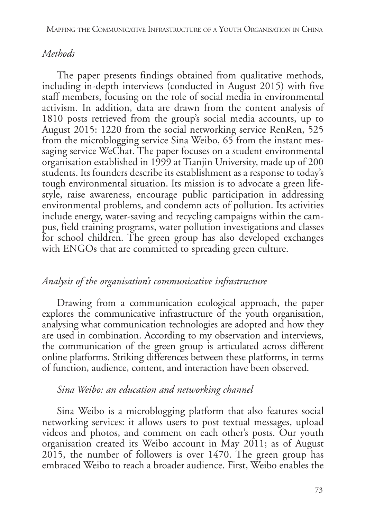## *Methods*

The paper presents findings obtained from qualitative methods, including in-depth interviews (conducted in August 2015) with five staff members, focusing on the role of social media in environmental activism. In addition, data are drawn from the content analysis of 1810 posts retrieved from the group's social media accounts, up to August 2015: 1220 from the social networking service RenRen, 525 from the microblogging service Sina Weibo, 65 from the instant messaging service WeChat. The paper focuses on a student environmental organisation established in 1999 at Tianjin University, made up of 200 students. Its founders describe its establishment as a response to today's tough environmental situation. Its mission is to advocate a green lifestyle, raise awareness, encourage public participation in addressing environmental problems, and condemn acts of pollution. Its activities include energy, water-saving and recycling campaigns within the campus, field training programs, water pollution investigations and classes for school children. The green group has also developed exchanges with ENGOs that are committed to spreading green culture.

### *Analysis of the organisation's communicative infrastructure*

Drawing from a communication ecological approach, the paper explores the communicative infrastructure of the youth organisation, analysing what communication technologies are adopted and how they are used in combination. According to my observation and interviews, the communication of the green group is articulated across different online platforms. Striking differences between these platforms, in terms of function, audience, content, and interaction have been observed.

### *Sina Weibo: an education and networking channel*

Sina Weibo is a microblogging platform that also features social networking services: it allows users to post textual messages, upload videos and photos, and comment on each other's posts. Our youth organisation created its Weibo account in May 2011; as of August 2015, the number of followers is over 1470. The green group has embraced Weibo to reach a broader audience. First, Weibo enables the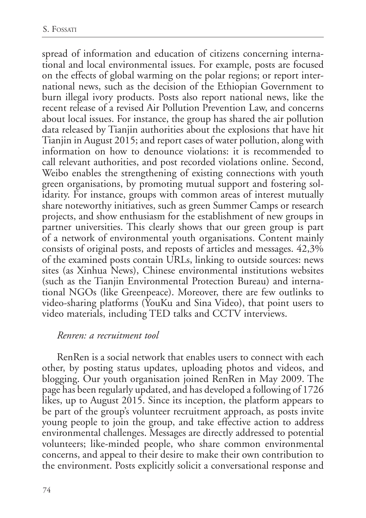spread of information and education of citizens concerning international and local environmental issues. For example, posts are focused on the effects of global warming on the polar regions; or report international news, such as the decision of the Ethiopian Government to burn illegal ivory products. Posts also report national news, like the recent release of a revised Air Pollution Prevention Law, and concerns about local issues. For instance, the group has shared the air pollution data released by Tianjin authorities about the explosions that have hit Tianjin in August 2015; and report cases of water pollution, along with information on how to denounce violations: it is recommended to call relevant authorities, and post recorded violations online. Second, Weibo enables the strengthening of existing connections with youth green organisations, by promoting mutual support and fostering solidarity. For instance, groups with common areas of interest mutually share noteworthy initiatives, such as green Summer Camps or research projects, and show enthusiasm for the establishment of new groups in partner universities. This clearly shows that our green group is part of a network of environmental youth organisations. Content mainly consists of original posts, and reposts of articles and messages. 42,3% of the examined posts contain URLs, linking to outside sources: news sites (as Xinhua News), Chinese environmental institutions websites (such as the Tianjin Environmental Protection Bureau) and international NGOs (like Greenpeace). Moreover, there are few outlinks to video-sharing platforms (YouKu and Sina Video), that point users to video materials, including TED talks and CCTV interviews.

#### *Renren: a recruitment tool*

RenRen is a social network that enables users to connect with each other, by posting status updates, uploading photos and videos, and blogging. Our youth organisation joined RenRen in May 2009. The page has been regularly updated, and has developed a following of 1726 likes, up to August 2015. Since its inception, the platform appears to be part of the group's volunteer recruitment approach, as posts invite young people to join the group, and take effective action to address environmental challenges. Messages are directly addressed to potential volunteers; like-minded people, who share common environmental concerns, and appeal to their desire to make their own contribution to the environment. Posts explicitly solicit a conversational response and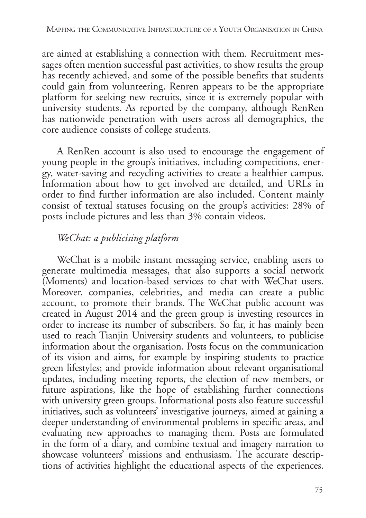are aimed at establishing a connection with them. Recruitment messages often mention successful past activities, to show results the group has recently achieved, and some of the possible benefits that students could gain from volunteering. Renren appears to be the appropriate platform for seeking new recruits, since it is extremely popular with university students. As reported by the company, although RenRen has nationwide penetration with users across all demographics, the core audience consists of college students.

A RenRen account is also used to encourage the engagement of young people in the group's initiatives, including competitions, energy, water-saving and recycling activities to create a healthier campus. Information about how to get involved are detailed, and URLs in order to find further information are also included. Content mainly consist of textual statuses focusing on the group's activities: 28% of posts include pictures and less than 3% contain videos.

# *WeChat: a publicising platform*

WeChat is a mobile instant messaging service, enabling users to generate multimedia messages, that also supports a social network (Moments) and location-based services to chat with WeChat users. Moreover, companies, celebrities, and media can create a public account, to promote their brands. The WeChat public account was created in August 2014 and the green group is investing resources in order to increase its number of subscribers. So far, it has mainly been used to reach Tianjin University students and volunteers, to publicise information about the organisation. Posts focus on the communication of its vision and aims, for example by inspiring students to practice green lifestyles; and provide information about relevant organisational updates, including meeting reports, the election of new members, or future aspirations, like the hope of establishing further connections with university green groups. Informational posts also feature successful initiatives, such as volunteers' investigative journeys, aimed at gaining a deeper understanding of environmental problems in specific areas, and evaluating new approaches to managing them. Posts are formulated in the form of a diary, and combine textual and imagery narration to showcase volunteers' missions and enthusiasm. The accurate descriptions of activities highlight the educational aspects of the experiences.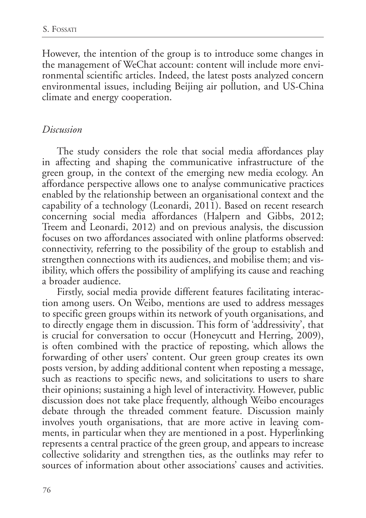However, the intention of the group is to introduce some changes in the management of WeChat account: content will include more environmental scientific articles. Indeed, the latest posts analyzed concern environmental issues, including Beijing air pollution, and US-China climate and energy cooperation.

### *Discussion*

The study considers the role that social media affordances play in affecting and shaping the communicative infrastructure of the green group, in the context of the emerging new media ecology. An affordance perspective allows one to analyse communicative practices enabled by the relationship between an organisational context and the capability of a technology (Leonardi, 2011). Based on recent research concerning social media affordances (Halpern and Gibbs, 2012; Treem and Leonardi, 2012) and on previous analysis, the discussion focuses on two affordances associated with online platforms observed: connectivity, referring to the possibility of the group to establish and strengthen connections with its audiences, and mobilise them; and visibility, which offers the possibility of amplifying its cause and reaching a broader audience.

Firstly, social media provide different features facilitating interaction among users. On Weibo, mentions are used to address messages to specific green groups within its network of youth organisations, and to directly engage them in discussion. This form of 'addressivity', that is crucial for conversation to occur (Honeycutt and Herring, 2009), is often combined with the practice of reposting, which allows the forwarding of other users' content. Our green group creates its own posts version, by adding additional content when reposting a message, such as reactions to specific news, and solicitations to users to share their opinions; sustaining a high level of interactivity. However, public discussion does not take place frequently, although Weibo encourages debate through the threaded comment feature. Discussion mainly involves youth organisations, that are more active in leaving comments, in particular when they are mentioned in a post. Hyperlinking represents a central practice of the green group, and appears to increase collective solidarity and strengthen ties, as the outlinks may refer to sources of information about other associations' causes and activities.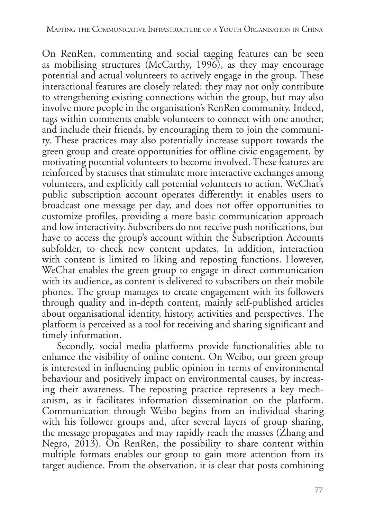On RenRen, commenting and social tagging features can be seen as mobilising structures (McCarthy, 1996), as they may encourage potential and actual volunteers to actively engage in the group. These interactional features are closely related: they may not only contribute to strengthening existing connections within the group, but may also involve more people in the organisation's RenRen community. Indeed, tags within comments enable volunteers to connect with one another, and include their friends, by encouraging them to join the community. These practices may also potentially increase support towards the green group and create opportunities for offline civic engagement, by motivating potential volunteers to become involved. These features are reinforced by statuses that stimulate more interactive exchanges among volunteers, and explicitly call potential volunteers to action. WeChat's public subscription account operates differently: it enables users to broadcast one message per day, and does not offer opportunities to customize profiles, providing a more basic communication approach and low interactivity. Subscribers do not receive push notifications, but have to access the group's account within the Subscription Accounts subfolder, to check new content updates. In addition, interaction with content is limited to liking and reposting functions. However, WeChat enables the green group to engage in direct communication with its audience, as content is delivered to subscribers on their mobile phones. The group manages to create engagement with its followers through quality and in-depth content, mainly self-published articles about organisational identity, history, activities and perspectives. The platform is perceived as a tool for receiving and sharing significant and timely information.

Secondly, social media platforms provide functionalities able to enhance the visibility of online content. On Weibo, our green group is interested in influencing public opinion in terms of environmental behaviour and positively impact on environmental causes, by increasing their awareness. The reposting practice represents a key mechanism, as it facilitates information dissemination on the platform. Communication through Weibo begins from an individual sharing with his follower groups and, after several layers of group sharing, the message propagates and may rapidly reach the masses (Zhang and Negro, 2013). On RenRen, the possibility to share content within multiple formats enables our group to gain more attention from its target audience. From the observation, it is clear that posts combining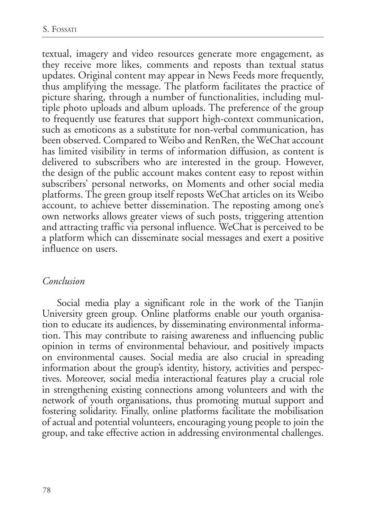textual, imagery and video resources generate more engagement, as they receive more likes, comments and reposts than textual status updates. Original content may appear in News Feeds more frequently, thus amplifying the message. The platform facilitates the practice of picture sharing, through a number of functionalities, including multiple photo uploads and album uploads. The preference of the group to frequently use features that support high-context communication, such as emoticons as a substitute for non-verbal communication, has been observed. Compared to Weibo and RenRen, the WeChat account has limited visibility in terms of information diffusion, as content is delivered to subscribers who are interested in the group. However, the design of the public account makes content easy to repost within subscribers' personal networks, on Moments and other social media platforms. The green group itself reposts WeChat articles on its Weibo account, to achieve better dissemination. The reposting among one's own networks allows greater views of such posts, triggering attention and attracting traffic via personal influence. WeChat is perceived to be a platform which can disseminate social messages and exert a positive influence on users.

### *Conclusion*

Social media play a significant role in the work of the Tianjin University green group. Online platforms enable our youth organisation to educate its audiences, by disseminating environmental information. This may contribute to raising awareness and influencing public opinion in terms of environmental behaviour, and positively impacts on environmental causes. Social media are also crucial in spreading information about the group's identity, history, activities and perspectives. Moreover, social media interactional features play a crucial role in strengthening existing connections among volunteers and with the network of youth organisations, thus promoting mutual support and fostering solidarity. Finally, online platforms facilitate the mobilisation of actual and potential volunteers, encouraging young people to join the group, and take effective action in addressing environmental challenges.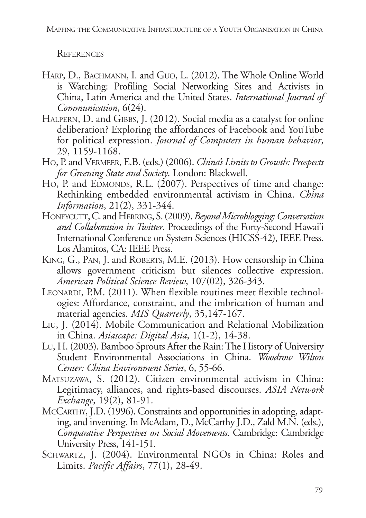**REFERENCES** 

- HARP, D., BACHMANN, I. and GUO, L. (2012). The Whole Online World is Watching: Profiling Social Networking Sites and Activists in China, Latin America and the United States. *International Journal of Communication*, 6(24).
- HALPERN, D. and GIBBS, J. (2012). Social media as a catalyst for online deliberation? Exploring the affordances of Facebook and YouTube for political expression. *Journal of Computers in human behavior*, 29, 1159-1168.
- Ho, P. and Vermeer, E.B. (eds.) (2006). *China's Limits to Growth: Prospects for Greening State and Society*. London: Blackwell.
- Ho, P. and EDMONDS, R.L. (2007). Perspectives of time and change: Rethinking embedded environmental activism in China. *China Information*, 21(2), 331-344.
- Honeycutt, C. and Herring, S. (2009). *Beyond Microblogging: Conversation and Collaboration in Twitter*. Proceedings of the Forty-Second Hawai'i International Conference on System Sciences (HICSS-42), IEEE Press. Los Alamitos, CA: IEEE Press.
- King, G., Pan, J. and Roberts, M.E. (2013). How censorship in China allows government criticism but silences collective expression. *American Political Science Review*, 107(02), 326-343.
- LEONARDI, P.M. (2011). When flexible routines meet flexible technologies: Affordance, constraint, and the imbrication of human and material agencies. *MIS Quarterly*, 35,147-167.
- Liu, J. (2014). Mobile Communication and Relational Mobilization in China. *Asiascape: Digital Asia*, 1(1-2), 14-38.
- Lu, H. (2003). Bamboo Sprouts After the Rain: The History of University Student Environmental Associations in China. *Woodrow Wilson Center: China Environment Series*, 6, 55-66.
- Matsuzawa, S. (2012). Citizen environmental activism in China: Legitimacy, alliances, and rights-based discourses. *ASIA Network Exchange*, 19(2), 81-91.
- McCARTHY, J.D. (1996). Constraints and opportunities in adopting, adapting, and inventing. In McAdam, D., McCarthy J.D., Zald M.N. (eds.), *Comparative Perspectives on Social Movements*. Cambridge: Cambridge University Press, 141-151.
- SCHWARTZ, J. (2004). Environmental NGOs in China: Roles and Limits. *Pacific Affairs*, 77(1), 28-49.